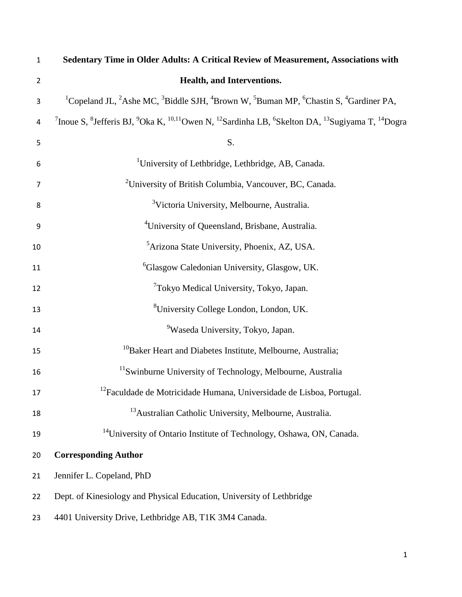| $\mathbf 1$    | Sedentary Time in Older Adults: A Critical Review of Measurement, Associations with                                                                                                            |
|----------------|------------------------------------------------------------------------------------------------------------------------------------------------------------------------------------------------|
| $\overline{2}$ | Health, and Interventions.                                                                                                                                                                     |
| 3              | <sup>1</sup> Copeland JL, <sup>2</sup> Ashe MC, <sup>3</sup> Biddle SJH, <sup>4</sup> Brown W, <sup>5</sup> Buman MP, <sup>6</sup> Chastin S, <sup>4</sup> Gardiner PA,                        |
| 4              | <sup>7</sup> Inoue S, <sup>8</sup> Jefferis BJ, <sup>9</sup> Oka K, <sup>10,11</sup> Owen N, <sup>12</sup> Sardinha LB, <sup>6</sup> Skelton DA, <sup>13</sup> Sugiyama T, <sup>14</sup> Dogra |
| 5              | S.                                                                                                                                                                                             |
| 6              | <sup>1</sup> University of Lethbridge, Lethbridge, AB, Canada.                                                                                                                                 |
| $\overline{7}$ | <sup>2</sup> University of British Columbia, Vancouver, BC, Canada.                                                                                                                            |
| 8              | <sup>3</sup> Victoria University, Melbourne, Australia.                                                                                                                                        |
| 9              | <sup>4</sup> University of Queensland, Brisbane, Australia.                                                                                                                                    |
| 10             | <sup>5</sup> Arizona State University, Phoenix, AZ, USA.                                                                                                                                       |
| 11             | <sup>6</sup> Glasgow Caledonian University, Glasgow, UK.                                                                                                                                       |
| 12             | <sup>7</sup> Tokyo Medical University, Tokyo, Japan.                                                                                                                                           |
| 13             | <sup>8</sup> University College London, London, UK.                                                                                                                                            |
| 14             | <sup>9</sup> Waseda University, Tokyo, Japan.                                                                                                                                                  |
| 15             | <sup>10</sup> Baker Heart and Diabetes Institute, Melbourne, Australia;                                                                                                                        |
| 16             | <sup>11</sup> Swinburne University of Technology, Melbourne, Australia                                                                                                                         |
| 17             | <sup>12</sup> Faculdade de Motricidade Humana, Universidade de Lisboa, Portugal.                                                                                                               |
| 18             | <sup>13</sup> Australian Catholic University, Melbourne, Australia.                                                                                                                            |
| 19             | <sup>14</sup> University of Ontario Institute of Technology, Oshawa, ON, Canada.                                                                                                               |
| 20             | <b>Corresponding Author</b>                                                                                                                                                                    |
| 21             | Jennifer L. Copeland, PhD                                                                                                                                                                      |
| 22             | Dept. of Kinesiology and Physical Education, University of Lethbridge                                                                                                                          |
| 23             | 4401 University Drive, Lethbridge AB, T1K 3M4 Canada.                                                                                                                                          |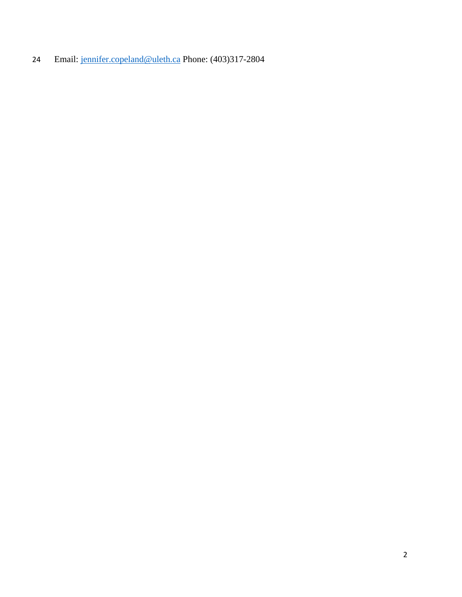Email: [jennifer.copeland@uleth.ca](mailto:jennifer.copeland@uleth.ca) Phone: (403)317-2804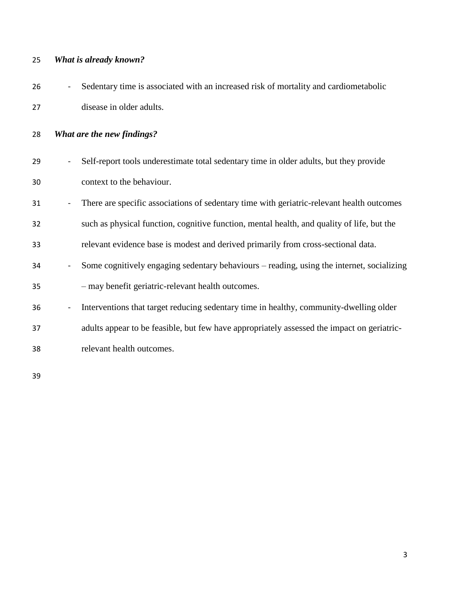## *What is already known?*

| 26 | - Sedentary time is associated with an increased risk of mortality and cardiometabolic |
|----|----------------------------------------------------------------------------------------|
| 27 | disease in older adults.                                                               |

*What are the new findings?*

| 29 | - Self-report tools underestimate total sedentary time in older adults, but they provide |
|----|------------------------------------------------------------------------------------------|
| 30 | context to the behaviour.                                                                |

- There are specific associations of sedentary time with geriatric-relevant health outcomes
- such as physical function, cognitive function, mental health, and quality of life, but the
- relevant evidence base is modest and derived primarily from cross-sectional data.
- Some cognitively engaging sedentary behaviours reading, using the internet, socializing – may benefit geriatric-relevant health outcomes.
- 36 Interventions that target reducing sedentary time in healthy, community-dwelling older
- adults appear to be feasible, but few have appropriately assessed the impact on geriatric-
- relevant health outcomes.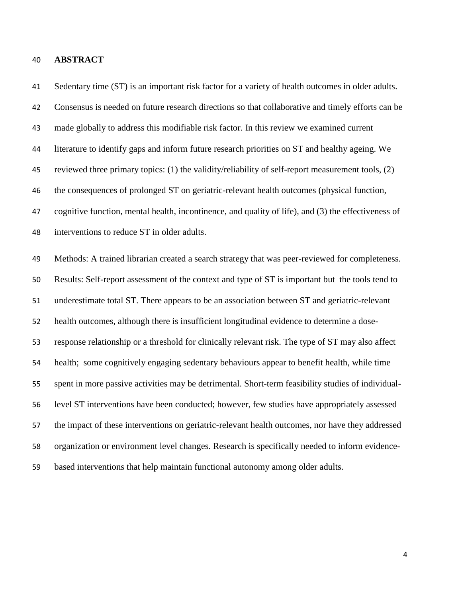#### **ABSTRACT**

 Sedentary time (ST) is an important risk factor for a variety of health outcomes in older adults. Consensus is needed on future research directions so that collaborative and timely efforts can be made globally to address this modifiable risk factor. In this review we examined current literature to identify gaps and inform future research priorities on ST and healthy ageing. We reviewed three primary topics: (1) the validity/reliability of self-report measurement tools, (2) the consequences of prolonged ST on geriatric-relevant health outcomes (physical function, cognitive function, mental health, incontinence, and quality of life), and (3) the effectiveness of interventions to reduce ST in older adults. Methods: A trained librarian created a search strategy that was peer-reviewed for completeness. Results: Self-report assessment of the context and type of ST is important but the tools tend to underestimate total ST. There appears to be an association between ST and geriatric-relevant health outcomes, although there is insufficient longitudinal evidence to determine a dose- response relationship or a threshold for clinically relevant risk. The type of ST may also affect health; some cognitively engaging sedentary behaviours appear to benefit health, while time spent in more passive activities may be detrimental. Short-term feasibility studies of individual- level ST interventions have been conducted; however, few studies have appropriately assessed the impact of these interventions on geriatric-relevant health outcomes, nor have they addressed organization or environment level changes. Research is specifically needed to inform evidence-based interventions that help maintain functional autonomy among older adults.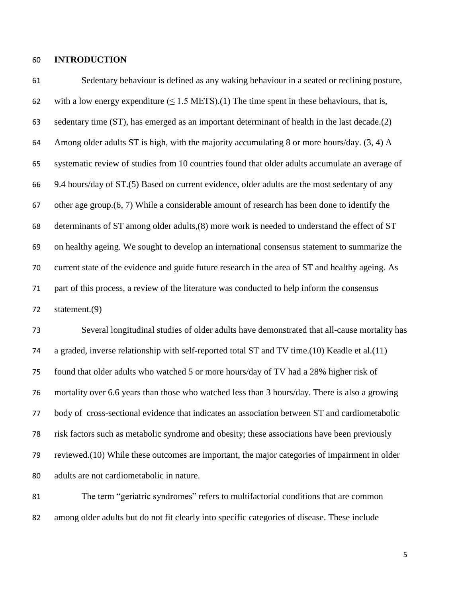#### **INTRODUCTION**

 Sedentary behaviour is defined as any waking behaviour in a seated or reclining posture, 62 with a low energy expenditure  $(\leq 1.5 \text{ METS})$ .(1) The time spent in these behaviours, that is, sedentary time (ST), has emerged as an important determinant of health in the last decade.(2) 64 Among older adults ST is high, with the majority accumulating 8 or more hours/day.  $(3, 4)$  A systematic review of studies from 10 countries found that older adults accumulate an average of 9.4 hours/day of ST.(5) Based on current evidence, older adults are the most sedentary of any other age group.(6, 7) While a considerable amount of research has been done to identify the determinants of ST among older adults,(8) more work is needed to understand the effect of ST on healthy ageing. We sought to develop an international consensus statement to summarize the current state of the evidence and guide future research in the area of ST and healthy ageing. As part of this process, a review of the literature was conducted to help inform the consensus statement.(9)

 Several longitudinal studies of older adults have demonstrated that all-cause mortality has a graded, inverse relationship with self-reported total ST and TV time.(10) Keadle et al.(11) found that older adults who watched 5 or more hours/day of TV had a 28% higher risk of mortality over 6.6 years than those who watched less than 3 hours/day. There is also a growing body of cross-sectional evidence that indicates an association between ST and cardiometabolic risk factors such as metabolic syndrome and obesity; these associations have been previously reviewed.(10) While these outcomes are important, the major categories of impairment in older adults are not cardiometabolic in nature.

 The term "geriatric syndromes" refers to multifactorial conditions that are common among older adults but do not fit clearly into specific categories of disease. These include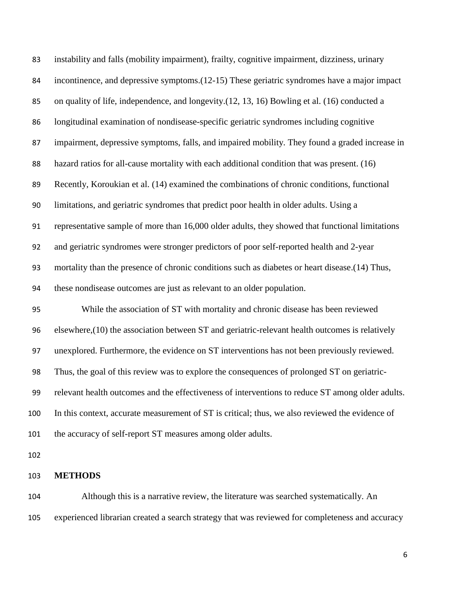| 83  | instability and falls (mobility impairment), frailty, cognitive impairment, dizziness, urinary   |
|-----|--------------------------------------------------------------------------------------------------|
| 84  | incontinence, and depressive symptoms. (12-15) These geriatric syndromes have a major impact     |
| 85  | on quality of life, independence, and longevity.(12, 13, 16) Bowling et al. (16) conducted a     |
| 86  | longitudinal examination of nondisease-specific geriatric syndromes including cognitive          |
| 87  | impairment, depressive symptoms, falls, and impaired mobility. They found a graded increase in   |
| 88  | hazard ratios for all-cause mortality with each additional condition that was present. (16)      |
| 89  | Recently, Koroukian et al. (14) examined the combinations of chronic conditions, functional      |
| 90  | limitations, and geriatric syndromes that predict poor health in older adults. Using a           |
| 91  | representative sample of more than 16,000 older adults, they showed that functional limitations  |
| 92  | and geriatric syndromes were stronger predictors of poor self-reported health and 2-year         |
| 93  | mortality than the presence of chronic conditions such as diabetes or heart disease. (14) Thus,  |
| 94  | these nondisease outcomes are just as relevant to an older population.                           |
| 95  | While the association of ST with mortality and chronic disease has been reviewed                 |
| 96  | elsewhere, (10) the association between ST and geriatric-relevant health outcomes is relatively  |
| 97  | unexplored. Furthermore, the evidence on ST interventions has not been previously reviewed.      |
| 98  | Thus, the goal of this review was to explore the consequences of prolonged ST on geriatric-      |
| 99  | relevant health outcomes and the effectiveness of interventions to reduce ST among older adults. |
| 100 | In this context, accurate measurement of ST is critical; thus, we also reviewed the evidence of  |
| 101 | the accuracy of self-report ST measures among older adults.                                      |
| 102 |                                                                                                  |
| 103 | <b>METHODS</b>                                                                                   |

 Although this is a narrative review, the literature was searched systematically. An experienced librarian created a search strategy that was reviewed for completeness and accuracy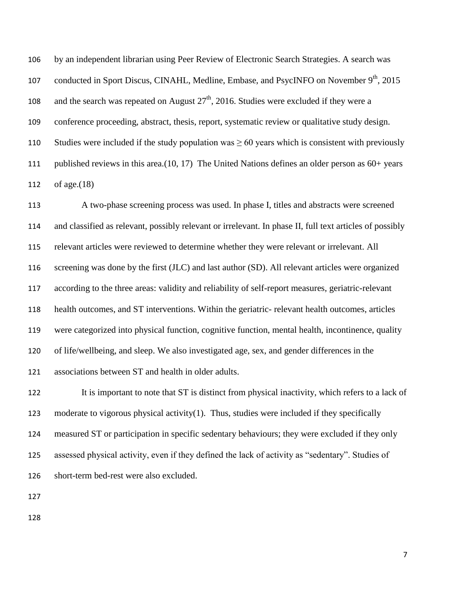by an independent librarian using Peer Review of Electronic Search Strategies. A search was 107 conducted in Sport Discus, CINAHL, Medline, Embase, and PsycINFO on November 9<sup>th</sup>, 2015 108 and the search was repeated on August  $27<sup>th</sup>$ , 2016. Studies were excluded if they were a conference proceeding, abstract, thesis, report, systematic review or qualitative study design. 110 Studies were included if the study population was  $\geq 60$  years which is consistent with previously published reviews in this area.(10, 17) The United Nations defines an older person as 60+ years of age.(18)

 A two-phase screening process was used. In phase I, titles and abstracts were screened and classified as relevant, possibly relevant or irrelevant. In phase II, full text articles of possibly relevant articles were reviewed to determine whether they were relevant or irrelevant. All screening was done by the first (JLC) and last author (SD). All relevant articles were organized according to the three areas: validity and reliability of self-report measures, geriatric-relevant health outcomes, and ST interventions. Within the geriatric- relevant health outcomes, articles were categorized into physical function, cognitive function, mental health, incontinence, quality of life/wellbeing, and sleep. We also investigated age, sex, and gender differences in the associations between ST and health in older adults.

 It is important to note that ST is distinct from physical inactivity, which refers to a lack of moderate to vigorous physical activity(1). Thus, studies were included if they specifically measured ST or participation in specific sedentary behaviours; they were excluded if they only assessed physical activity, even if they defined the lack of activity as "sedentary". Studies of short-term bed-rest were also excluded.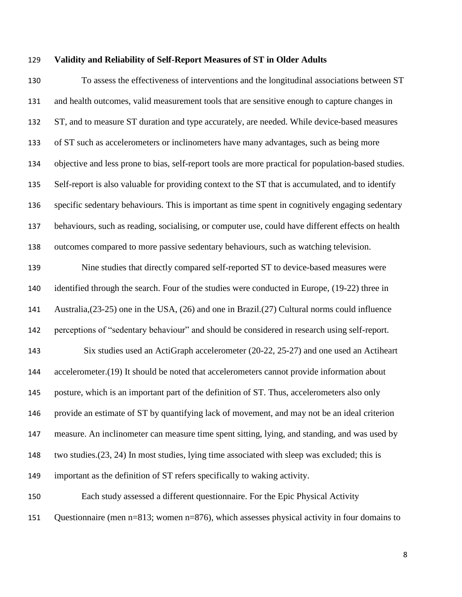#### **Validity and Reliability of Self-Report Measures of ST in Older Adults**

 To assess the effectiveness of interventions and the longitudinal associations between ST and health outcomes, valid measurement tools that are sensitive enough to capture changes in ST, and to measure ST duration and type accurately, are needed. While device-based measures of ST such as accelerometers or inclinometers have many advantages, such as being more objective and less prone to bias, self-report tools are more practical for population-based studies. Self-report is also valuable for providing context to the ST that is accumulated, and to identify specific sedentary behaviours. This is important as time spent in cognitively engaging sedentary behaviours, such as reading, socialising, or computer use, could have different effects on health outcomes compared to more passive sedentary behaviours, such as watching television.

 Nine studies that directly compared self-reported ST to device-based measures were identified through the search. Four of the studies were conducted in Europe, (19-22) three in Australia,(23-25) one in the USA, (26) and one in Brazil.(27) Cultural norms could influence perceptions of "sedentary behaviour" and should be considered in research using self-report. Six studies used an ActiGraph accelerometer (20-22, 25-27) and one used an Actiheart 144 accelerometer.(19) It should be noted that accelerometers cannot provide information about posture, which is an important part of the definition of ST. Thus, accelerometers also only provide an estimate of ST by quantifying lack of movement, and may not be an ideal criterion measure. An inclinometer can measure time spent sitting, lying, and standing, and was used by two studies.(23, 24) In most studies, lying time associated with sleep was excluded; this is important as the definition of ST refers specifically to waking activity.

 Each study assessed a different questionnaire. For the Epic Physical Activity Questionnaire (men n=813; women n=876), which assesses physical activity in four domains to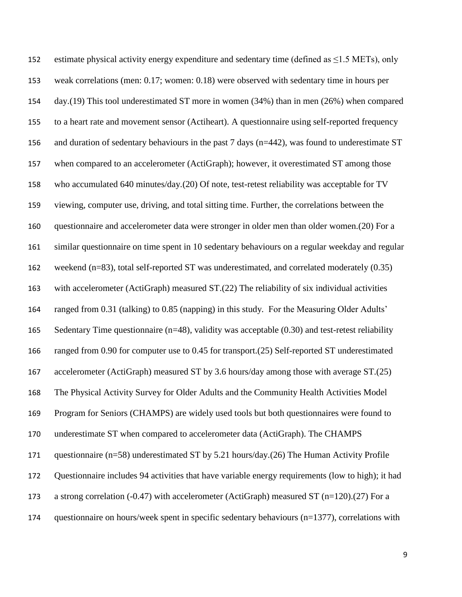estimate physical activity energy expenditure and sedentary time (defined as ≤1.5 METs), only weak correlations (men: 0.17; women: 0.18) were observed with sedentary time in hours per day.(19) This tool underestimated ST more in women (34%) than in men (26%) when compared to a heart rate and movement sensor (Actiheart). A questionnaire using self-reported frequency and duration of sedentary behaviours in the past 7 days (n=442), was found to underestimate ST when compared to an accelerometer (ActiGraph); however, it overestimated ST among those who accumulated 640 minutes/day.(20) Of note, test-retest reliability was acceptable for TV viewing, computer use, driving, and total sitting time. Further, the correlations between the questionnaire and accelerometer data were stronger in older men than older women.(20) For a similar questionnaire on time spent in 10 sedentary behaviours on a regular weekday and regular weekend (n=83), total self-reported ST was underestimated, and correlated moderately (0.35) with accelerometer (ActiGraph) measured ST.(22) The reliability of six individual activities ranged from 0.31 (talking) to 0.85 (napping) in this study. For the Measuring Older Adults' Sedentary Time questionnaire (n=48), validity was acceptable (0.30) and test-retest reliability ranged from 0.90 for computer use to 0.45 for transport.(25) Self-reported ST underestimated accelerometer (ActiGraph) measured ST by 3.6 hours/day among those with average ST.(25) The Physical Activity Survey for Older Adults and the Community Health Activities Model Program for Seniors (CHAMPS) are widely used tools but both questionnaires were found to underestimate ST when compared to accelerometer data (ActiGraph). The CHAMPS questionnaire (n=58) underestimated ST by 5.21 hours/day.(26) The Human Activity Profile Questionnaire includes 94 activities that have variable energy requirements (low to high); it had a strong correlation (-0.47) with accelerometer (ActiGraph) measured ST (n=120).(27) For a questionnaire on hours/week spent in specific sedentary behaviours (n=1377), correlations with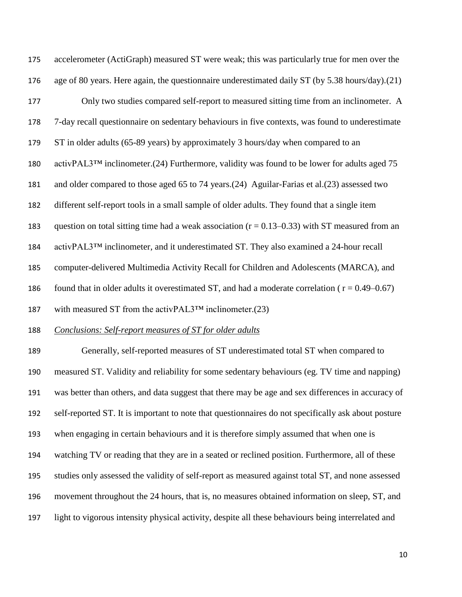accelerometer (ActiGraph) measured ST were weak; this was particularly true for men over the age of 80 years. Here again, the questionnaire underestimated daily ST (by 5.38 hours/day).(21) Only two studies compared self-report to measured sitting time from an inclinometer. A 7-day recall questionnaire on sedentary behaviours in five contexts, was found to underestimate ST in older adults (65-89 years) by approximately 3 hours/day when compared to an activPAL3™ inclinometer.(24) Furthermore, validity was found to be lower for adults aged 75 and older compared to those aged 65 to 74 years.(24) Aguilar-Farias et al.(23) assessed two different self-report tools in a small sample of older adults. They found that a single item 183 question on total sitting time had a weak association  $(r = 0.13 - 0.33)$  with ST measured from an activPAL3™ inclinometer, and it underestimated ST. They also examined a 24-hour recall computer-delivered Multimedia Activity Recall for Children and Adolescents (MARCA), and 186 found that in older adults it overestimated ST, and had a moderate correlation ( $r = 0.49 - 0.67$ ) with measured ST from the activPAL3™ inclinometer.(23)

### *Conclusions: Self-report measures of ST for older adults*

 Generally, self-reported measures of ST underestimated total ST when compared to measured ST. Validity and reliability for some sedentary behaviours (eg. TV time and napping) was better than others, and data suggest that there may be age and sex differences in accuracy of self-reported ST. It is important to note that questionnaires do not specifically ask about posture when engaging in certain behaviours and it is therefore simply assumed that when one is watching TV or reading that they are in a seated or reclined position. Furthermore, all of these studies only assessed the validity of self-report as measured against total ST, and none assessed movement throughout the 24 hours, that is, no measures obtained information on sleep, ST, and light to vigorous intensity physical activity, despite all these behaviours being interrelated and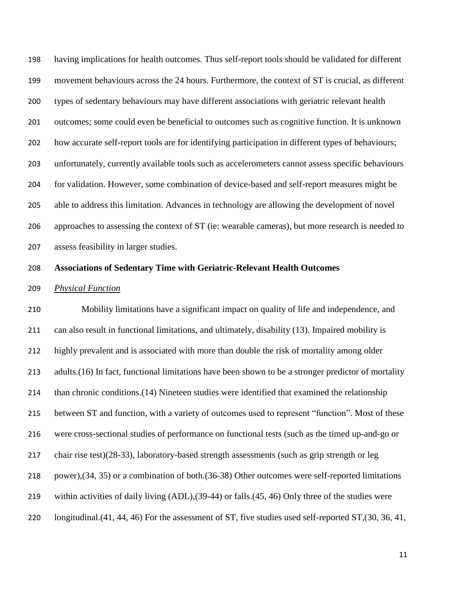having implications for health outcomes. Thus self-report tools should be validated for different movement behaviours across the 24 hours. Furthermore, the context of ST is crucial, as different types of sedentary behaviours may have different associations with geriatric relevant health outcomes; some could even be beneficial to outcomes such as cognitive function. It is unknown how accurate self-report tools are for identifying participation in different types of behaviours; unfortunately, currently available tools such as accelerometers cannot assess specific behaviours for validation. However, some combination of device-based and self-report measures might be able to address this limitation. Advances in technology are allowing the development of novel approaches to assessing the context of ST (ie: wearable cameras), but more research is needed to assess feasibility in larger studies.

#### **Associations of Sedentary Time with Geriatric-Relevant Health Outcomes**

#### *Physical Function*

 Mobility limitations have a significant impact on quality of life and independence, and can also result in functional limitations, and ultimately, disability (13). Impaired mobility is highly prevalent and is associated with more than double the risk of mortality among older adults.(16) In fact, functional limitations have been shown to be a stronger predictor of mortality than chronic conditions.(14) Nineteen studies were identified that examined the relationship between ST and function, with a variety of outcomes used to represent "function". Most of these were cross-sectional studies of performance on functional tests (such as the timed up-and-go or chair rise test)(28-33), laboratory-based strength assessments (such as grip strength or leg power),(34, 35) or a combination of both.(36-38) Other outcomes were self-reported limitations within activities of daily living (ADL),(39-44) or falls.(45, 46) Only three of the studies were longitudinal.(41, 44, 46) For the assessment of ST, five studies used self-reported ST,(30, 36, 41,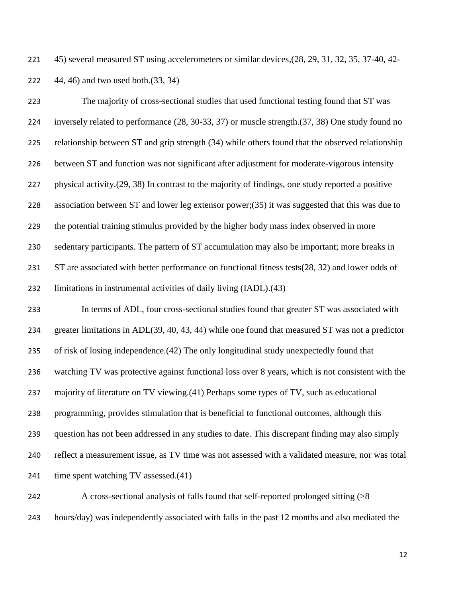45) several measured ST using accelerometers or similar devices,(28, 29, 31, 32, 35, 37-40, 42- 44, 46) and two used both.(33, 34)

 The majority of cross-sectional studies that used functional testing found that ST was inversely related to performance (28, 30-33, 37) or muscle strength.(37, 38) One study found no relationship between ST and grip strength (34) while others found that the observed relationship between ST and function was not significant after adjustment for moderate-vigorous intensity physical activity.(29, 38) In contrast to the majority of findings, one study reported a positive association between ST and lower leg extensor power;(35) it was suggested that this was due to the potential training stimulus provided by the higher body mass index observed in more sedentary participants. The pattern of ST accumulation may also be important; more breaks in 231 ST are associated with better performance on functional fitness tests(28, 32) and lower odds of limitations in instrumental activities of daily living (IADL).(43) In terms of ADL, four cross-sectional studies found that greater ST was associated with greater limitations in ADL(39, 40, 43, 44) while one found that measured ST was not a predictor of risk of losing independence.(42) The only longitudinal study unexpectedly found that watching TV was protective against functional loss over 8 years, which is not consistent with the majority of literature on TV viewing.(41) Perhaps some types of TV, such as educational programming, provides stimulation that is beneficial to functional outcomes, although this question has not been addressed in any studies to date. This discrepant finding may also simply reflect a measurement issue, as TV time was not assessed with a validated measure, nor was total

241 time spent watching TV assessed.(41)

 A cross-sectional analysis of falls found that self-reported prolonged sitting (>8 hours/day) was independently associated with falls in the past 12 months and also mediated the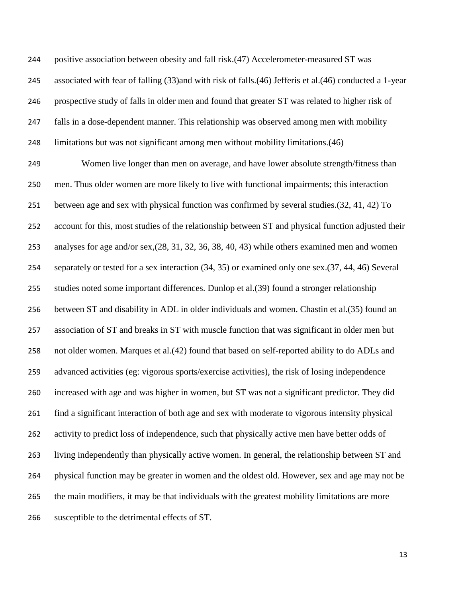positive association between obesity and fall risk.(47) Accelerometer-measured ST was associated with fear of falling (33)and with risk of falls.(46) Jefferis et al.(46) conducted a 1-year prospective study of falls in older men and found that greater ST was related to higher risk of falls in a dose-dependent manner. This relationship was observed among men with mobility limitations but was not significant among men without mobility limitations.(46)

 Women live longer than men on average, and have lower absolute strength/fitness than men. Thus older women are more likely to live with functional impairments; this interaction between age and sex with physical function was confirmed by several studies.(32, 41, 42) To account for this, most studies of the relationship between ST and physical function adjusted their analyses for age and/or sex,(28, 31, 32, 36, 38, 40, 43) while others examined men and women separately or tested for a sex interaction (34, 35) or examined only one sex.(37, 44, 46) Several studies noted some important differences. Dunlop et al.(39) found a stronger relationship between ST and disability in ADL in older individuals and women. Chastin et al.(35) found an association of ST and breaks in ST with muscle function that was significant in older men but not older women. Marques et al.(42) found that based on self-reported ability to do ADLs and advanced activities (eg: vigorous sports/exercise activities), the risk of losing independence increased with age and was higher in women, but ST was not a significant predictor. They did find a significant interaction of both age and sex with moderate to vigorous intensity physical 262 activity to predict loss of independence, such that physically active men have better odds of living independently than physically active women. In general, the relationship between ST and physical function may be greater in women and the oldest old. However, sex and age may not be the main modifiers, it may be that individuals with the greatest mobility limitations are more susceptible to the detrimental effects of ST.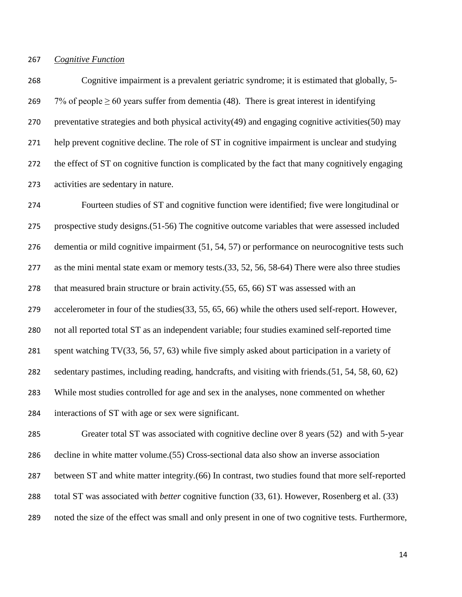### *Cognitive Function*

 Cognitive impairment is a prevalent geriatric syndrome; it is estimated that globally, 5- 269 7% of people  $\geq 60$  years suffer from dementia (48). There is great interest in identifying 270 preventative strategies and both physical activity(49) and engaging cognitive activities(50) may help prevent cognitive decline. The role of ST in cognitive impairment is unclear and studying the effect of ST on cognitive function is complicated by the fact that many cognitively engaging activities are sedentary in nature.

 Fourteen studies of ST and cognitive function were identified; five were longitudinal or prospective study designs.(51-56) The cognitive outcome variables that were assessed included dementia or mild cognitive impairment (51, 54, 57) or performance on neurocognitive tests such as the mini mental state exam or memory tests.(33, 52, 56, 58-64) There were also three studies that measured brain structure or brain activity.(55, 65, 66) ST was assessed with an accelerometer in four of the studies(33, 55, 65, 66) while the others used self-report. However, not all reported total ST as an independent variable; four studies examined self-reported time spent watching TV(33, 56, 57, 63) while five simply asked about participation in a variety of sedentary pastimes, including reading, handcrafts, and visiting with friends.(51, 54, 58, 60, 62) While most studies controlled for age and sex in the analyses, none commented on whether interactions of ST with age or sex were significant.

 Greater total ST was associated with cognitive decline over 8 years (52) and with 5-year decline in white matter volume.(55) Cross-sectional data also show an inverse association between ST and white matter integrity.(66) In contrast, two studies found that more self-reported total ST was associated with *better* cognitive function (33, 61). However, Rosenberg et al. (33) noted the size of the effect was small and only present in one of two cognitive tests. Furthermore,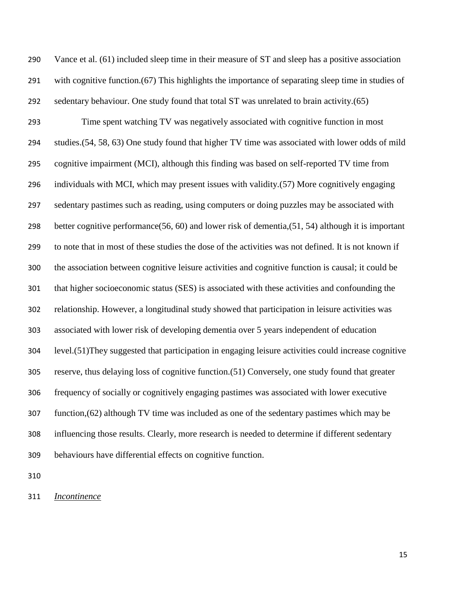Vance et al. (61) included sleep time in their measure of ST and sleep has a positive association with cognitive function.(67) This highlights the importance of separating sleep time in studies of sedentary behaviour. One study found that total ST was unrelated to brain activity.(65) Time spent watching TV was negatively associated with cognitive function in most studies.(54, 58, 63) One study found that higher TV time was associated with lower odds of mild cognitive impairment (MCI), although this finding was based on self-reported TV time from individuals with MCI, which may present issues with validity.(57) More cognitively engaging sedentary pastimes such as reading, using computers or doing puzzles may be associated with better cognitive performance(56, 60) and lower risk of dementia,(51, 54) although it is important to note that in most of these studies the dose of the activities was not defined. It is not known if the association between cognitive leisure activities and cognitive function is causal; it could be that higher socioeconomic status (SES) is associated with these activities and confounding the relationship. However, a longitudinal study showed that participation in leisure activities was associated with lower risk of developing dementia over 5 years independent of education level.(51)They suggested that participation in engaging leisure activities could increase cognitive reserve, thus delaying loss of cognitive function.(51) Conversely, one study found that greater frequency of socially or cognitively engaging pastimes was associated with lower executive function,(62) although TV time was included as one of the sedentary pastimes which may be influencing those results. Clearly, more research is needed to determine if different sedentary behaviours have differential effects on cognitive function.

*Incontinence*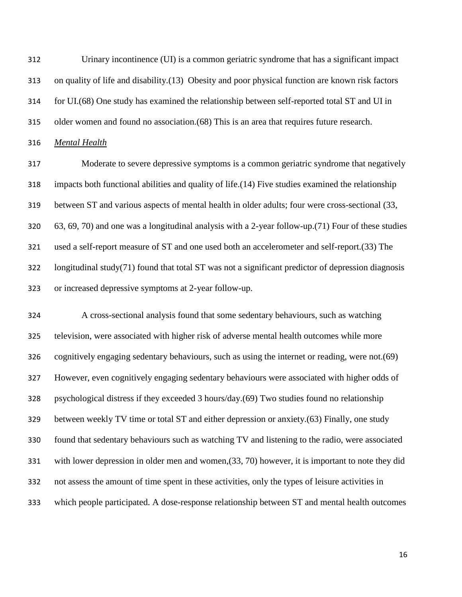Urinary incontinence (UI) is a common geriatric syndrome that has a significant impact on quality of life and disability.(13) Obesity and poor physical function are known risk factors for UI.(68) One study has examined the relationship between self-reported total ST and UI in older women and found no association.(68) This is an area that requires future research.

*Mental Health*

 Moderate to severe depressive symptoms is a common geriatric syndrome that negatively impacts both functional abilities and quality of life.(14) Five studies examined the relationship between ST and various aspects of mental health in older adults; four were cross-sectional (33, 63, 69, 70) and one was a longitudinal analysis with a 2-year follow-up.(71) Four of these studies used a self-report measure of ST and one used both an accelerometer and self-report.(33) The longitudinal study(71) found that total ST was not a significant predictor of depression diagnosis or increased depressive symptoms at 2-year follow-up.

 A cross-sectional analysis found that some sedentary behaviours, such as watching television, were associated with higher risk of adverse mental health outcomes while more cognitively engaging sedentary behaviours, such as using the internet or reading, were not.(69) However, even cognitively engaging sedentary behaviours were associated with higher odds of psychological distress if they exceeded 3 hours/day.(69) Two studies found no relationship between weekly TV time or total ST and either depression or anxiety.(63) Finally, one study found that sedentary behaviours such as watching TV and listening to the radio, were associated with lower depression in older men and women,(33, 70) however, it is important to note they did not assess the amount of time spent in these activities, only the types of leisure activities in which people participated. A dose-response relationship between ST and mental health outcomes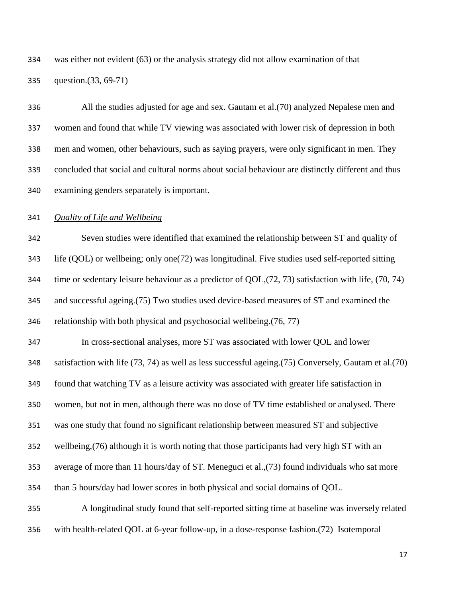was either not evident (63) or the analysis strategy did not allow examination of that

question.(33, 69-71)

 All the studies adjusted for age and sex. Gautam et al.(70) analyzed Nepalese men and women and found that while TV viewing was associated with lower risk of depression in both men and women, other behaviours, such as saying prayers, were only significant in men. They concluded that social and cultural norms about social behaviour are distinctly different and thus examining genders separately is important.

### *Quality of Life and Wellbeing*

 Seven studies were identified that examined the relationship between ST and quality of life (QOL) or wellbeing; only one(72) was longitudinal. Five studies used self-reported sitting time or sedentary leisure behaviour as a predictor of QOL,(72, 73) satisfaction with life, (70, 74) and successful ageing.(75) Two studies used device-based measures of ST and examined the relationship with both physical and psychosocial wellbeing.(76, 77)

 In cross-sectional analyses, more ST was associated with lower QOL and lower satisfaction with life (73, 74) as well as less successful ageing.(75) Conversely, Gautam et al.(70) found that watching TV as a leisure activity was associated with greater life satisfaction in women, but not in men, although there was no dose of TV time established or analysed. There was one study that found no significant relationship between measured ST and subjective wellbeing,(76) although it is worth noting that those participants had very high ST with an average of more than 11 hours/day of ST. Meneguci et al.,(73) found individuals who sat more than 5 hours/day had lower scores in both physical and social domains of QOL. A longitudinal study found that self-reported sitting time at baseline was inversely related

with health-related QOL at 6-year follow-up, in a dose-response fashion.(72) Isotemporal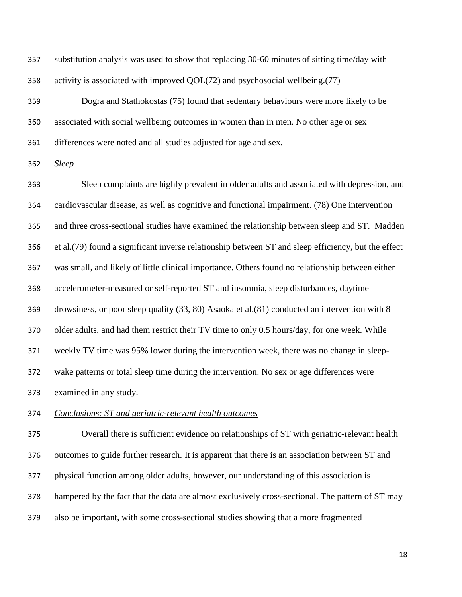| 357 | substitution analysis was used to show that replacing 30-60 minutes of sitting time/day with  |
|-----|-----------------------------------------------------------------------------------------------|
| 358 | activity is associated with improved QOL(72) and psychosocial wellbeing. (77)                 |
| 359 | Dogra and Stathokostas (75) found that sedentary behaviours were more likely to be            |
| 360 | associated with social wellbeing outcomes in women than in men. No other age or sex           |
| 361 | differences were noted and all studies adjusted for age and sex.                              |
| 362 | <b>Sleep</b>                                                                                  |
| 363 | Sleep complaints are highly prevalent in older adults and associated with depression, and     |
| 364 | cardiovascular disease, as well as cognitive and functional impairment. (78) One intervention |

 and three cross-sectional studies have examined the relationship between sleep and ST. Madden et al.(79) found a significant inverse relationship between ST and sleep efficiency, but the effect was small, and likely of little clinical importance. Others found no relationship between either accelerometer-measured or self-reported ST and insomnia, sleep disturbances, daytime drowsiness, or poor sleep quality (33, 80) Asaoka et al.(81) conducted an intervention with 8 older adults, and had them restrict their TV time to only 0.5 hours/day, for one week. While weekly TV time was 95% lower during the intervention week, there was no change in sleep-wake patterns or total sleep time during the intervention. No sex or age differences were

*Conclusions: ST and geriatric-relevant health outcomes*

examined in any study.

 Overall there is sufficient evidence on relationships of ST with geriatric-relevant health outcomes to guide further research. It is apparent that there is an association between ST and physical function among older adults, however, our understanding of this association is hampered by the fact that the data are almost exclusively cross-sectional. The pattern of ST may also be important, with some cross-sectional studies showing that a more fragmented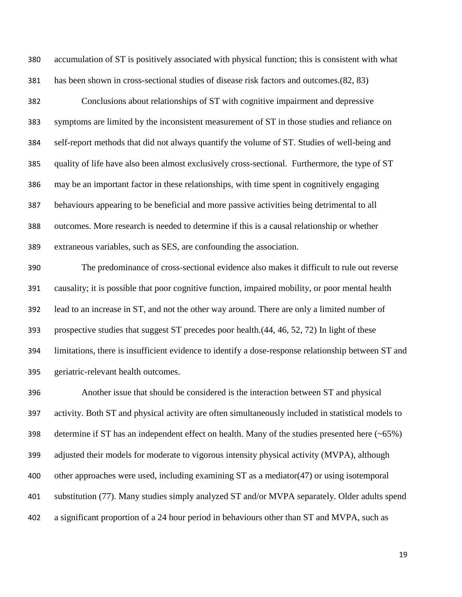accumulation of ST is positively associated with physical function; this is consistent with what has been shown in cross-sectional studies of disease risk factors and outcomes.(82, 83)

 Conclusions about relationships of ST with cognitive impairment and depressive symptoms are limited by the inconsistent measurement of ST in those studies and reliance on self-report methods that did not always quantify the volume of ST. Studies of well-being and quality of life have also been almost exclusively cross-sectional. Furthermore, the type of ST may be an important factor in these relationships, with time spent in cognitively engaging behaviours appearing to be beneficial and more passive activities being detrimental to all outcomes. More research is needed to determine if this is a causal relationship or whether extraneous variables, such as SES, are confounding the association.

 The predominance of cross-sectional evidence also makes it difficult to rule out reverse causality; it is possible that poor cognitive function, impaired mobility, or poor mental health lead to an increase in ST, and not the other way around. There are only a limited number of prospective studies that suggest ST precedes poor health.(44, 46, 52, 72) In light of these limitations, there is insufficient evidence to identify a dose-response relationship between ST and geriatric-relevant health outcomes.

 Another issue that should be considered is the interaction between ST and physical activity. Both ST and physical activity are often simultaneously included in statistical models to determine if ST has an independent effect on health. Many of the studies presented here (~65%) adjusted their models for moderate to vigorous intensity physical activity (MVPA), although other approaches were used, including examining ST as a mediator(47) or using isotemporal substitution (77). Many studies simply analyzed ST and/or MVPA separately. Older adults spend a significant proportion of a 24 hour period in behaviours other than ST and MVPA, such as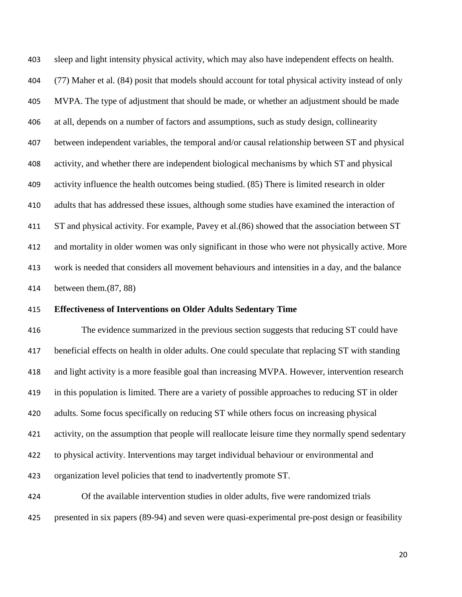sleep and light intensity physical activity, which may also have independent effects on health. (77) Maher et al. (84) posit that models should account for total physical activity instead of only MVPA. The type of adjustment that should be made, or whether an adjustment should be made at all, depends on a number of factors and assumptions, such as study design, collinearity between independent variables, the temporal and/or causal relationship between ST and physical activity, and whether there are independent biological mechanisms by which ST and physical activity influence the health outcomes being studied. (85) There is limited research in older adults that has addressed these issues, although some studies have examined the interaction of ST and physical activity. For example, Pavey et al.(86) showed that the association between ST and mortality in older women was only significant in those who were not physically active. More work is needed that considers all movement behaviours and intensities in a day, and the balance between them.(87, 88)

#### **Effectiveness of Interventions on Older Adults Sedentary Time**

 The evidence summarized in the previous section suggests that reducing ST could have beneficial effects on health in older adults. One could speculate that replacing ST with standing and light activity is a more feasible goal than increasing MVPA. However, intervention research in this population is limited. There are a variety of possible approaches to reducing ST in older adults. Some focus specifically on reducing ST while others focus on increasing physical activity, on the assumption that people will reallocate leisure time they normally spend sedentary to physical activity. Interventions may target individual behaviour or environmental and organization level policies that tend to inadvertently promote ST.

 Of the available intervention studies in older adults, five were randomized trials presented in six papers (89-94) and seven were quasi-experimental pre-post design or feasibility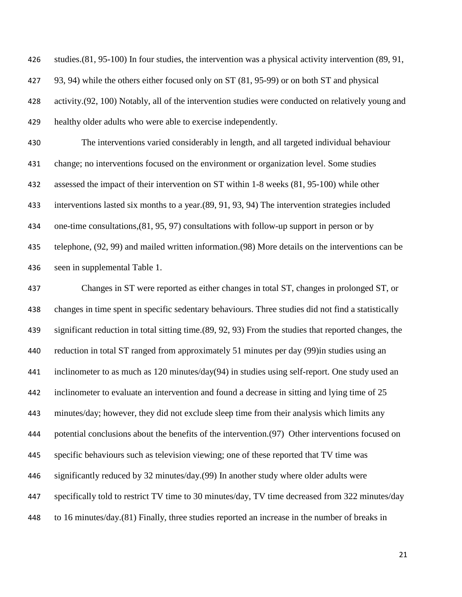studies.(81, 95-100) In four studies, the intervention was a physical activity intervention (89, 91, 93, 94) while the others either focused only on ST (81, 95-99) or on both ST and physical activity.(92, 100) Notably, all of the intervention studies were conducted on relatively young and healthy older adults who were able to exercise independently.

 The interventions varied considerably in length, and all targeted individual behaviour change; no interventions focused on the environment or organization level. Some studies assessed the impact of their intervention on ST within 1-8 weeks (81, 95-100) while other interventions lasted six months to a year.(89, 91, 93, 94) The intervention strategies included one-time consultations,(81, 95, 97) consultations with follow-up support in person or by telephone, (92, 99) and mailed written information.(98) More details on the interventions can be seen in supplemental Table 1.

 Changes in ST were reported as either changes in total ST, changes in prolonged ST, or changes in time spent in specific sedentary behaviours. Three studies did not find a statistically significant reduction in total sitting time.(89, 92, 93) From the studies that reported changes, the reduction in total ST ranged from approximately 51 minutes per day (99)in studies using an inclinometer to as much as 120 minutes/day(94) in studies using self-report. One study used an inclinometer to evaluate an intervention and found a decrease in sitting and lying time of 25 minutes/day; however, they did not exclude sleep time from their analysis which limits any potential conclusions about the benefits of the intervention.(97) Other interventions focused on specific behaviours such as television viewing; one of these reported that TV time was significantly reduced by 32 minutes/day.(99) In another study where older adults were specifically told to restrict TV time to 30 minutes/day, TV time decreased from 322 minutes/day to 16 minutes/day.(81) Finally, three studies reported an increase in the number of breaks in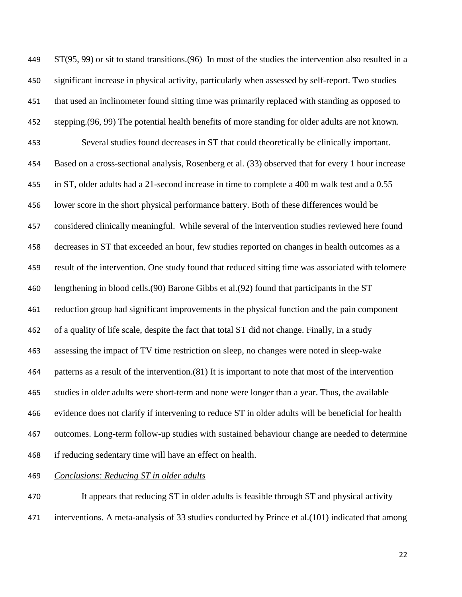ST(95, 99) or sit to stand transitions.(96) In most of the studies the intervention also resulted in a significant increase in physical activity, particularly when assessed by self-report. Two studies that used an inclinometer found sitting time was primarily replaced with standing as opposed to stepping.(96, 99) The potential health benefits of more standing for older adults are not known. Several studies found decreases in ST that could theoretically be clinically important. Based on a cross-sectional analysis, Rosenberg et al. (33) observed that for every 1 hour increase in ST, older adults had a 21-second increase in time to complete a 400 m walk test and a 0.55 lower score in the short physical performance battery. Both of these differences would be considered clinically meaningful. While several of the intervention studies reviewed here found decreases in ST that exceeded an hour, few studies reported on changes in health outcomes as a result of the intervention. One study found that reduced sitting time was associated with telomere lengthening in blood cells.(90) Barone Gibbs et al.(92) found that participants in the ST reduction group had significant improvements in the physical function and the pain component of a quality of life scale, despite the fact that total ST did not change. Finally, in a study assessing the impact of TV time restriction on sleep, no changes were noted in sleep-wake patterns as a result of the intervention.(81) It is important to note that most of the intervention studies in older adults were short-term and none were longer than a year. Thus, the available evidence does not clarify if intervening to reduce ST in older adults will be beneficial for health outcomes. Long-term follow-up studies with sustained behaviour change are needed to determine if reducing sedentary time will have an effect on health.

## *Conclusions: Reducing ST in older adults*

 It appears that reducing ST in older adults is feasible through ST and physical activity interventions. A meta-analysis of 33 studies conducted by Prince et al.(101) indicated that among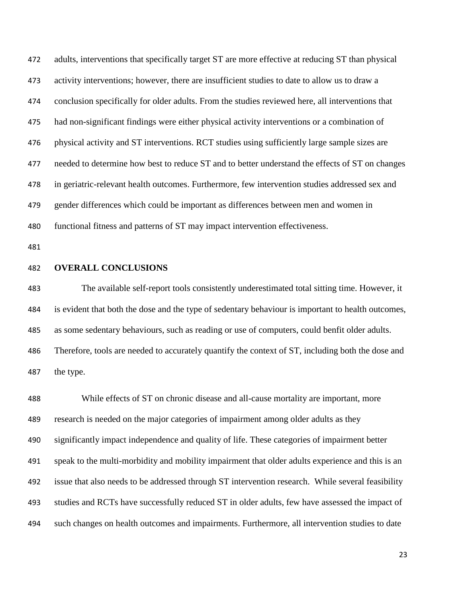adults, interventions that specifically target ST are more effective at reducing ST than physical activity interventions; however, there are insufficient studies to date to allow us to draw a conclusion specifically for older adults. From the studies reviewed here, all interventions that had non-significant findings were either physical activity interventions or a combination of physical activity and ST interventions. RCT studies using sufficiently large sample sizes are 477 needed to determine how best to reduce ST and to better understand the effects of ST on changes in geriatric-relevant health outcomes. Furthermore, few intervention studies addressed sex and gender differences which could be important as differences between men and women in functional fitness and patterns of ST may impact intervention effectiveness.

#### **OVERALL CONCLUSIONS**

 The available self-report tools consistently underestimated total sitting time. However, it is evident that both the dose and the type of sedentary behaviour is important to health outcomes, as some sedentary behaviours, such as reading or use of computers, could benfit older adults. Therefore, tools are needed to accurately quantify the context of ST, including both the dose and the type.

 While effects of ST on chronic disease and all-cause mortality are important, more research is needed on the major categories of impairment among older adults as they significantly impact independence and quality of life. These categories of impairment better speak to the multi-morbidity and mobility impairment that older adults experience and this is an issue that also needs to be addressed through ST intervention research. While several feasibility studies and RCTs have successfully reduced ST in older adults, few have assessed the impact of such changes on health outcomes and impairments. Furthermore, all intervention studies to date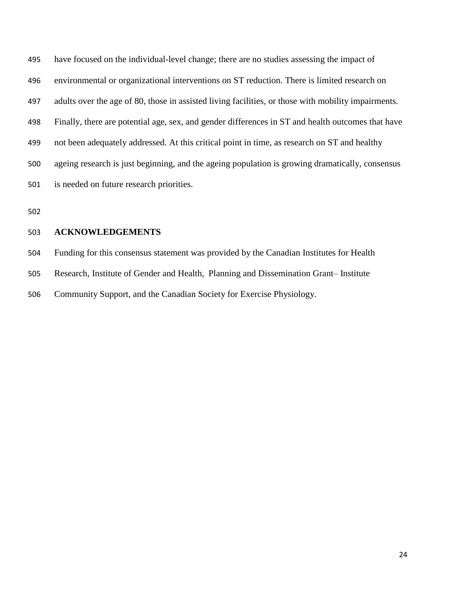have focused on the individual-level change; there are no studies assessing the impact of environmental or organizational interventions on ST reduction. There is limited research on adults over the age of 80, those in assisted living facilities, or those with mobility impairments. Finally, there are potential age, sex, and gender differences in ST and health outcomes that have not been adequately addressed. At this critical point in time, as research on ST and healthy ageing research is just beginning, and the ageing population is growing dramatically, consensus is needed on future research priorities.

### **ACKNOWLEDGEMENTS**

 Funding for this consensus statement was provided by the Canadian Institutes for Health Research, Institute of Gender and Health, Planning and Dissemination Grant– Institute Community Support, and the Canadian Society for Exercise Physiology.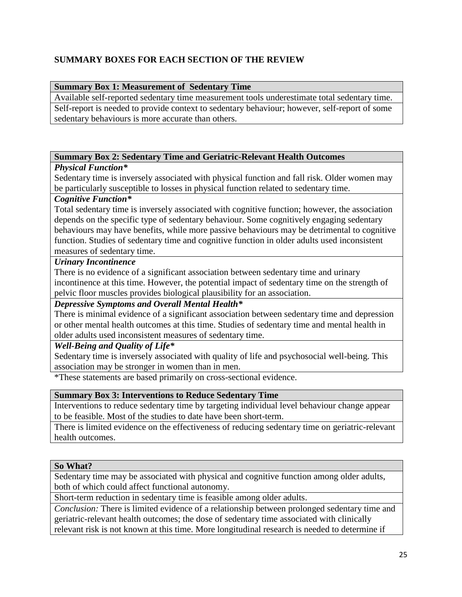# **SUMMARY BOXES FOR EACH SECTION OF THE REVIEW**

## **Summary Box 1: Measurement of Sedentary Time**

Available self-reported sedentary time measurement tools underestimate total sedentary time. Self-report is needed to provide context to sedentary behaviour; however, self-report of some sedentary behaviours is more accurate than others.

## **Summary Box 2: Sedentary Time and Geriatric-Relevant Health Outcomes**

## *Physical Function\**

Sedentary time is inversely associated with physical function and fall risk. Older women may be particularly susceptible to losses in physical function related to sedentary time.

# *Cognitive Function\**

Total sedentary time is inversely associated with cognitive function; however, the association depends on the specific type of sedentary behaviour. Some cognitively engaging sedentary behaviours may have benefits, while more passive behaviours may be detrimental to cognitive function. Studies of sedentary time and cognitive function in older adults used inconsistent measures of sedentary time.

## *Urinary Incontinence*

There is no evidence of a significant association between sedentary time and urinary incontinence at this time. However, the potential impact of sedentary time on the strength of pelvic floor muscles provides biological plausibility for an association.

## *Depressive Symptoms and Overall Mental Health\**

There is minimal evidence of a significant association between sedentary time and depression or other mental health outcomes at this time. Studies of sedentary time and mental health in older adults used inconsistent measures of sedentary time.

*Well-Being and Quality of Life\**

Sedentary time is inversely associated with quality of life and psychosocial well-being. This association may be stronger in women than in men.

\*These statements are based primarily on cross-sectional evidence.

## **Summary Box 3: Interventions to Reduce Sedentary Time**

Interventions to reduce sedentary time by targeting individual level behaviour change appear to be feasible. Most of the studies to date have been short-term.

There is limited evidence on the effectiveness of reducing sedentary time on geriatric-relevant health outcomes.

## **So What?**

Sedentary time may be associated with physical and cognitive function among older adults, both of which could affect functional autonomy.

Short-term reduction in sedentary time is feasible among older adults.

*Conclusion:* There is limited evidence of a relationship between prolonged sedentary time and geriatric-relevant health outcomes; the dose of sedentary time associated with clinically relevant risk is not known at this time. More longitudinal research is needed to determine if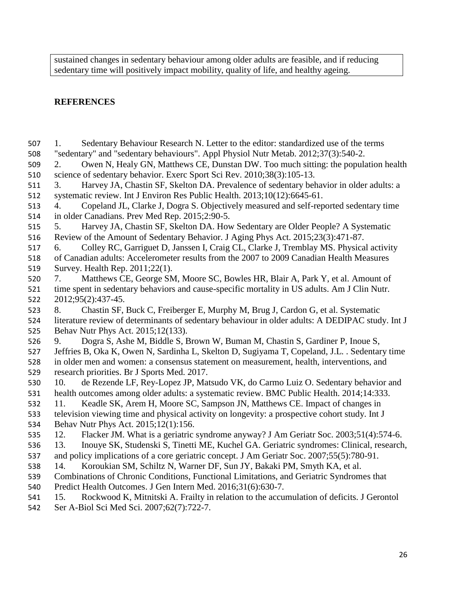sustained changes in sedentary behaviour among older adults are feasible, and if reducing sedentary time will positively impact mobility, quality of life, and healthy ageing.

# **REFERENCES**

 1. Sedentary Behaviour Research N. Letter to the editor: standardized use of the terms "sedentary" and "sedentary behaviours". Appl Physiol Nutr Metab. 2012;37(3):540-2. 2. Owen N, Healy GN, Matthews CE, Dunstan DW. Too much sitting: the population health science of sedentary behavior. Exerc Sport Sci Rev. 2010;38(3):105-13. 3. Harvey JA, Chastin SF, Skelton DA. Prevalence of sedentary behavior in older adults: a systematic review. Int J Environ Res Public Health. 2013;10(12):6645-61. 4. Copeland JL, Clarke J, Dogra S. Objectively measured and self-reported sedentary time in older Canadians. Prev Med Rep. 2015;2:90-5. 5. Harvey JA, Chastin SF, Skelton DA. How Sedentary are Older People? A Systematic Review of the Amount of Sedentary Behavior. J Aging Phys Act. 2015;23(3):471-87. 6. Colley RC, Garriguet D, Janssen I, Craig CL, Clarke J, Tremblay MS. Physical activity of Canadian adults: Accelerometer results from the 2007 to 2009 Canadian Health Measures Survey. Health Rep. 2011;22(1). 7. Matthews CE, George SM, Moore SC, Bowles HR, Blair A, Park Y, et al. Amount of time spent in sedentary behaviors and cause-specific mortality in US adults. Am J Clin Nutr. 2012;95(2):437-45. 8. Chastin SF, Buck C, Freiberger E, Murphy M, Brug J, Cardon G, et al. Systematic literature review of determinants of sedentary behaviour in older adults: A DEDIPAC study. Int J Behav Nutr Phys Act. 2015;12(133). 9. Dogra S, Ashe M, Biddle S, Brown W, Buman M, Chastin S, Gardiner P, Inoue S, Jeffries B, Oka K, Owen N, Sardinha L, Skelton D, Sugiyama T, Copeland, J.L. . Sedentary time in older men and women: a consensus statement on measurement, health, interventions, and research priorities. Br J Sports Med. 2017. 10. de Rezende LF, Rey-Lopez JP, Matsudo VK, do Carmo Luiz O. Sedentary behavior and health outcomes among older adults: a systematic review. BMC Public Health. 2014;14:333. 11. Keadle SK, Arem H, Moore SC, Sampson JN, Matthews CE. Impact of changes in television viewing time and physical activity on longevity: a prospective cohort study. Int J Behav Nutr Phys Act. 2015;12(1):156. 12. Flacker JM. What is a geriatric syndrome anyway? J Am Geriatr Soc. 2003;51(4):574-6. 13. Inouye SK, Studenski S, Tinetti ME, Kuchel GA. Geriatric syndromes: Clinical, research, and policy implications of a core geriatric concept. J Am Geriatr Soc. 2007;55(5):780-91. 14. Koroukian SM, Schiltz N, Warner DF, Sun JY, Bakaki PM, Smyth KA, et al. Combinations of Chronic Conditions, Functional Limitations, and Geriatric Syndromes that Predict Health Outcomes. J Gen Intern Med. 2016;31(6):630-7. 15. Rockwood K, Mitnitski A. Frailty in relation to the accumulation of deficits. J Gerontol Ser A-Biol Sci Med Sci. 2007;62(7):722-7.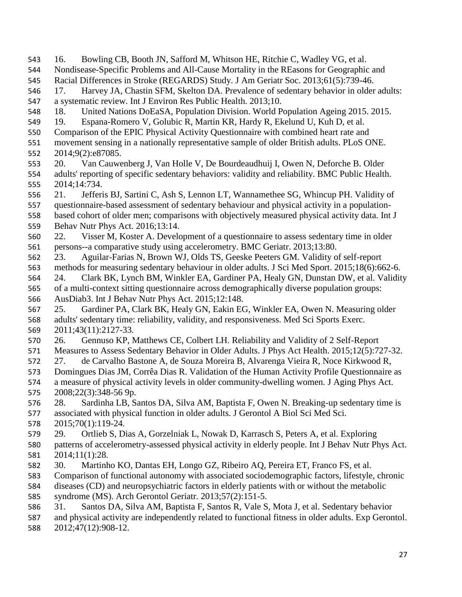16. Bowling CB, Booth JN, Safford M, Whitson HE, Ritchie C, Wadley VG, et al. Nondisease-Specific Problems and All-Cause Mortality in the REasons for Geographic and Racial Differences in Stroke (REGARDS) Study. J Am Geriatr Soc. 2013;61(5):739-46. 17. Harvey JA, Chastin SFM, Skelton DA. Prevalence of sedentary behavior in older adults: a systematic review. Int J Environ Res Public Health. 2013;10. 18. United Nations DoEaSA, Population Division. World Population Ageing 2015. 2015. 19. Espana-Romero V, Golubic R, Martin KR, Hardy R, Ekelund U, Kuh D, et al. Comparison of the EPIC Physical Activity Questionnaire with combined heart rate and movement sensing in a nationally representative sample of older British adults. PLoS ONE. 2014;9(2):e87085. 20. Van Cauwenberg J, Van Holle V, De Bourdeaudhuij I, Owen N, Deforche B. Older adults' reporting of specific sedentary behaviors: validity and reliability. BMC Public Health. 2014;14:734. 21. Jefferis BJ, Sartini C, Ash S, Lennon LT, Wannamethee SG, Whincup PH. Validity of questionnaire-based assessment of sedentary behaviour and physical activity in a population- based cohort of older men; comparisons with objectively measured physical activity data. Int J Behav Nutr Phys Act. 2016;13:14. 22. Visser M, Koster A. Development of a questionnaire to assess sedentary time in older persons--a comparative study using accelerometry. BMC Geriatr. 2013;13:80. 23. Aguilar-Farias N, Brown WJ, Olds TS, Geeske Peeters GM. Validity of self-report methods for measuring sedentary behaviour in older adults. J Sci Med Sport. 2015;18(6):662-6. 24. Clark BK, Lynch BM, Winkler EA, Gardiner PA, Healy GN, Dunstan DW, et al. Validity of a multi-context sitting questionnaire across demographically diverse population groups: AusDiab3. Int J Behav Nutr Phys Act. 2015;12:148. 25. Gardiner PA, Clark BK, Healy GN, Eakin EG, Winkler EA, Owen N. Measuring older adults' sedentary time: reliability, validity, and responsiveness. Med Sci Sports Exerc. 2011;43(11):2127-33. 26. Gennuso KP, Matthews CE, Colbert LH. Reliability and Validity of 2 Self-Report Measures to Assess Sedentary Behavior in Older Adults. J Phys Act Health. 2015;12(5):727-32. 27. de Carvalho Bastone A, de Souza Moreira B, Alvarenga Vieira R, Noce Kirkwood R, Domingues Dias JM, Corrêa Dias R. Validation of the Human Activity Profile Questionnaire as a measure of physical activity levels in older community-dwelling women. J Aging Phys Act. 2008;22(3):348-56 9p. 28. Sardinha LB, Santos DA, Silva AM, Baptista F, Owen N. Breaking-up sedentary time is associated with physical function in older adults. J Gerontol A Biol Sci Med Sci. 2015;70(1):119-24. 29. Ortlieb S, Dias A, Gorzelniak L, Nowak D, Karrasch S, Peters A, et al. Exploring patterns of accelerometry-assessed physical activity in elderly people. Int J Behav Nutr Phys Act. 2014;11(1):28. 30. Martinho KO, Dantas EH, Longo GZ, Ribeiro AQ, Pereira ET, Franco FS, et al. Comparison of functional autonomy with associated sociodemographic factors, lifestyle, chronic diseases (CD) and neuropsychiatric factors in elderly patients with or without the metabolic syndrome (MS). Arch Gerontol Geriatr. 2013;57(2):151-5. 31. Santos DA, Silva AM, Baptista F, Santos R, Vale S, Mota J, et al. Sedentary behavior and physical activity are independently related to functional fitness in older adults. Exp Gerontol.

2012;47(12):908-12.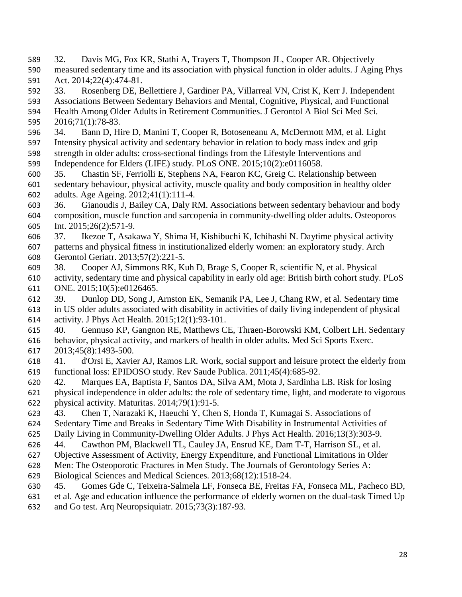- 32. Davis MG, Fox KR, Stathi A, Trayers T, Thompson JL, Cooper AR. Objectively measured sedentary time and its association with physical function in older adults. J Aging Phys
- Act. 2014;22(4):474-81.
- 33. Rosenberg DE, Bellettiere J, Gardiner PA, Villarreal VN, Crist K, Kerr J. Independent
- Associations Between Sedentary Behaviors and Mental, Cognitive, Physical, and Functional
- Health Among Older Adults in Retirement Communities. J Gerontol A Biol Sci Med Sci. 2016;71(1):78-83.
- 34. Bann D, Hire D, Manini T, Cooper R, Botoseneanu A, McDermott MM, et al. Light
- Intensity physical activity and sedentary behavior in relation to body mass index and grip
- strength in older adults: cross-sectional findings from the Lifestyle Interventions and
- Independence for Elders (LIFE) study. PLoS ONE. 2015;10(2):e0116058.
- 35. Chastin SF, Ferriolli E, Stephens NA, Fearon KC, Greig C. Relationship between sedentary behaviour, physical activity, muscle quality and body composition in healthy older adults. Age Ageing. 2012;41(1):111-4.
- 36. Gianoudis J, Bailey CA, Daly RM. Associations between sedentary behaviour and body composition, muscle function and sarcopenia in community-dwelling older adults. Osteoporos Int. 2015;26(2):571-9.
- 37. Ikezoe T, Asakawa Y, Shima H, Kishibuchi K, Ichihashi N. Daytime physical activity patterns and physical fitness in institutionalized elderly women: an exploratory study. Arch Gerontol Geriatr. 2013;57(2):221-5.
- 38. Cooper AJ, Simmons RK, Kuh D, Brage S, Cooper R, scientific N, et al. Physical activity, sedentary time and physical capability in early old age: British birth cohort study. PLoS ONE. 2015;10(5):e0126465.
- 39. Dunlop DD, Song J, Arnston EK, Semanik PA, Lee J, Chang RW, et al. Sedentary time
- in US older adults associated with disability in activities of daily living independent of physical activity. J Phys Act Health. 2015;12(1):93-101.
- 40. Gennuso KP, Gangnon RE, Matthews CE, Thraen-Borowski KM, Colbert LH. Sedentary behavior, physical activity, and markers of health in older adults. Med Sci Sports Exerc. 2013;45(8):1493-500.
- 41. d'Orsi E, Xavier AJ, Ramos LR. Work, social support and leisure protect the elderly from functional loss: EPIDOSO study. Rev Saude Publica. 2011;45(4):685-92.
- 42. Marques EA, Baptista F, Santos DA, Silva AM, Mota J, Sardinha LB. Risk for losing
- physical independence in older adults: the role of sedentary time, light, and moderate to vigorous physical activity. Maturitas. 2014;79(1):91-5.
- 43. Chen T, Narazaki K, Haeuchi Y, Chen S, Honda T, Kumagai S. Associations of
- Sedentary Time and Breaks in Sedentary Time With Disability in Instrumental Activities of
- Daily Living in Community-Dwelling Older Adults. J Phys Act Health. 2016;13(3):303-9.
- 44. Cawthon PM, Blackwell TL, Cauley JA, Ensrud KE, Dam T-T, Harrison SL, et al.
- Objective Assessment of Activity, Energy Expenditure, and Functional Limitations in Older
- Men: The Osteoporotic Fractures in Men Study. The Journals of Gerontology Series A:
- Biological Sciences and Medical Sciences. 2013;68(12):1518-24.
- 45. Gomes Gde C, Teixeira-Salmela LF, Fonseca BE, Freitas FA, Fonseca ML, Pacheco BD,
- et al. Age and education influence the performance of elderly women on the dual-task Timed Up
- and Go test. Arq Neuropsiquiatr. 2015;73(3):187-93.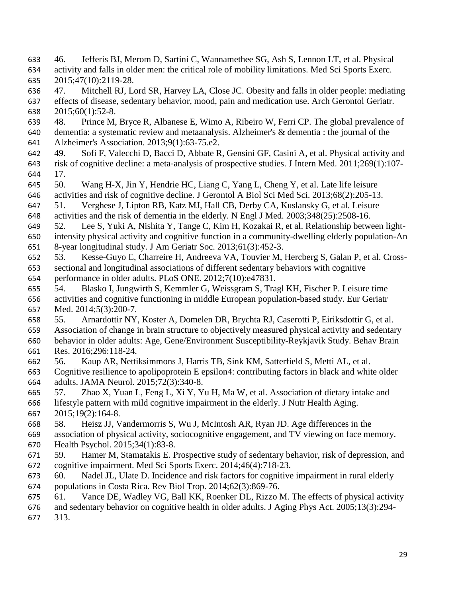- 46. Jefferis BJ, Merom D, Sartini C, Wannamethee SG, Ash S, Lennon LT, et al. Physical activity and falls in older men: the critical role of mobility limitations. Med Sci Sports Exerc. 2015;47(10):2119-28.
- 47. Mitchell RJ, Lord SR, Harvey LA, Close JC. Obesity and falls in older people: mediating effects of disease, sedentary behavior, mood, pain and medication use. Arch Gerontol Geriatr. 2015;60(1):52-8.
- 48. Prince M, Bryce R, Albanese E, Wimo A, Ribeiro W, Ferri CP. The global prevalence of
- dementia: a systematic review and metaanalysis. Alzheimer's & dementia : the journal of the
- Alzheimer's Association. 2013;9(1):63-75.e2.
- 49. Sofi F, Valecchi D, Bacci D, Abbate R, Gensini GF, Casini A, et al. Physical activity and risk of cognitive decline: a meta‐analysis of prospective studies. J Intern Med. 2011;269(1):107- 17.
- 50. Wang H-X, Jin Y, Hendrie HC, Liang C, Yang L, Cheng Y, et al. Late life leisure
- activities and risk of cognitive decline. J Gerontol A Biol Sci Med Sci. 2013;68(2):205-13.
- 51. Verghese J, Lipton RB, Katz MJ, Hall CB, Derby CA, Kuslansky G, et al. Leisure
- activities and the risk of dementia in the elderly. N Engl J Med. 2003;348(25):2508-16.
- 52. Lee S, Yuki A, Nishita Y, Tange C, Kim H, Kozakai R, et al. Relationship between light- intensity physical activity and cognitive function in a community-dwelling elderly population-An 8-year longitudinal study. J Am Geriatr Soc. 2013;61(3):452-3.
- 53. Kesse-Guyo E, Charreire H, Andreeva VA, Touvier M, Hercberg S, Galan P, et al. Cross-
- sectional and longitudinal associations of different sedentary behaviors with cognitive performance in older adults. PLoS ONE. 2012;7(10):e47831.
- 54. Blasko I, Jungwirth S, Kemmler G, Weissgram S, Tragl KH, Fischer P. Leisure time
- activities and cognitive functioning in middle European population-based study. Eur Geriatr Med. 2014;5(3):200-7.
- 55. Arnardottir NY, Koster A, Domelen DR, Brychta RJ, Caserotti P, Eiriksdottir G, et al.
- Association of change in brain structure to objectively measured physical activity and sedentary behavior in older adults: Age, Gene/Environment Susceptibility-Reykjavik Study. Behav Brain Res. 2016;296:118-24.
- 56. Kaup AR, Nettiksimmons J, Harris TB, Sink KM, Satterfield S, Metti AL, et al.
- Cognitive resilience to apolipoprotein E epsilon4: contributing factors in black and white older adults. JAMA Neurol. 2015;72(3):340-8.
- 57. Zhao X, Yuan L, Feng L, Xi Y, Yu H, Ma W, et al. Association of dietary intake and
- lifestyle pattern with mild cognitive impairment in the elderly. J Nutr Health Aging. 2015;19(2):164-8.
- 58. Heisz JJ, Vandermorris S, Wu J, McIntosh AR, Ryan JD. Age differences in the
- association of physical activity, sociocognitive engagement, and TV viewing on face memory. Health Psychol. 2015;34(1):83-8.
- 59. Hamer M, Stamatakis E. Prospective study of sedentary behavior, risk of depression, and cognitive impairment. Med Sci Sports Exerc. 2014;46(4):718-23.
- 60. Nadel JL, Ulate D. Incidence and risk factors for cognitive impairment in rural elderly populations in Costa Rica. Rev Biol Trop. 2014;62(3):869-76.
- 61. Vance DE, Wadley VG, Ball KK, Roenker DL, Rizzo M. The effects of physical activity
- and sedentary behavior on cognitive health in older adults. J Aging Phys Act. 2005;13(3):294- 313.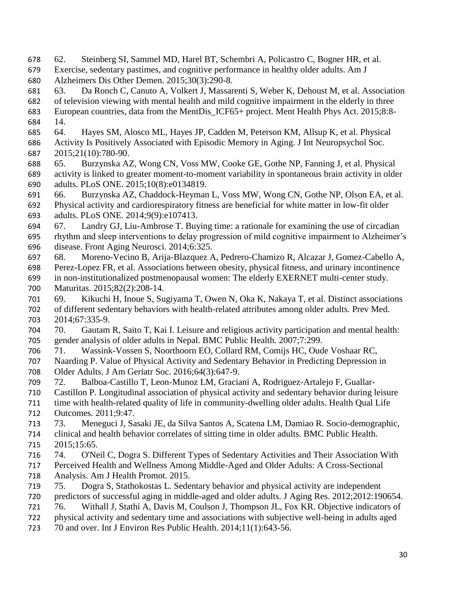- 62. Steinberg SI, Sammel MD, Harel BT, Schembri A, Policastro C, Bogner HR, et al.
- Exercise, sedentary pastimes, and cognitive performance in healthy older adults. Am J Alzheimers Dis Other Demen. 2015;30(3):290-8.
- 63. Da Ronch C, Canuto A, Volkert J, Massarenti S, Weber K, Dehoust M, et al. Association
- of television viewing with mental health and mild cognitive impairment in the elderly in three
- European countries, data from the MentDis\_ICF65+ project. Ment Health Phys Act. 2015;8:8- 14.
- 64. Hayes SM, Alosco ML, Hayes JP, Cadden M, Peterson KM, Allsup K, et al. Physical Activity Is Positively Associated with Episodic Memory in Aging. J Int Neuropsychol Soc. 2015;21(10):780-90.
- 65. Burzynska AZ, Wong CN, Voss MW, Cooke GE, Gothe NP, Fanning J, et al. Physical activity is linked to greater moment-to-moment variability in spontaneous brain activity in older adults. PLoS ONE. 2015;10(8):e0134819.
- 66. Burzynska AZ, Chaddock-Heyman L, Voss MW, Wong CN, Gothe NP, Olson EA, et al.
- Physical activity and cardiorespiratory fitness are beneficial for white matter in low-fit older adults. PLoS ONE. 2014;9(9):e107413.
- 67. Landry GJ, Liu-Ambrose T. Buying time: a rationale for examining the use of circadian
- rhythm and sleep interventions to delay progression of mild cognitive impairment to Alzheimer's disease. Front Aging Neurosci. 2014;6:325.
- 68. Moreno-Vecino B, Arija-Blazquez A, Pedrero-Chamizo R, Alcazar J, Gomez-Cabello A,
- Perez-Lopez FR, et al. Associations between obesity, physical fitness, and urinary incontinence
- in non-institutionalized postmenopausal women: The elderly EXERNET multi-center study. Maturitas. 2015;82(2):208-14.
- 69. Kikuchi H, Inoue S, Sugiyama T, Owen N, Oka K, Nakaya T, et al. Distinct associations of different sedentary behaviors with health-related attributes among older adults. Prev Med. 2014;67:335-9.
- 70. Gautam R, Saito T, Kai I. Leisure and religious activity participation and mental health: gender analysis of older adults in Nepal. BMC Public Health. 2007;7:299.
- 71. Wassink-Vossen S, Noorthoorn EO, Collard RM, Comijs HC, Oude Voshaar RC, Naarding P. Value of Physical Activity and Sedentary Behavior in Predicting Depression in
- Older Adults. J Am Geriatr Soc. 2016;64(3):647-9.
- 72. Balboa-Castillo T, Leon-Munoz LM, Graciani A, Rodriguez-Artalejo F, Guallar-
- Castillon P. Longitudinal association of physical activity and sedentary behavior during leisure
- time with health-related quality of life in community-dwelling older adults. Health Qual Life
- Outcomes. 2011;9:47.
- 73. Meneguci J, Sasaki JE, da Silva Santos A, Scatena LM, Damiao R. Socio-demographic,
- clinical and health behavior correlates of sitting time in older adults. BMC Public Health. 2015;15:65.
- 74. O'Neil C, Dogra S. Different Types of Sedentary Activities and Their Association With
- Perceived Health and Wellness Among Middle-Aged and Older Adults: A Cross-Sectional Analysis. Am J Health Promot. 2015.
- 75. Dogra S, Stathokostas L. Sedentary behavior and physical activity are independent
- predictors of successful aging in middle-aged and older adults. J Aging Res. 2012;2012:190654.
- 76. Withall J, Stathi A, Davis M, Coulson J, Thompson JL, Fox KR. Objective indicators of
- physical activity and sedentary time and associations with subjective well-being in adults aged
- 70 and over. Int J Environ Res Public Health. 2014;11(1):643-56.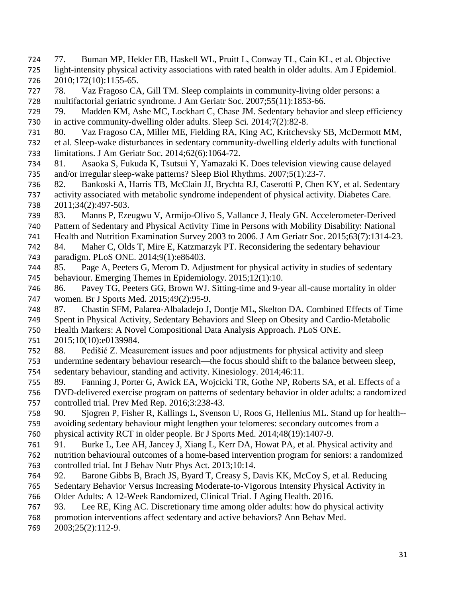77. Buman MP, Hekler EB, Haskell WL, Pruitt L, Conway TL, Cain KL, et al. Objective light-intensity physical activity associations with rated health in older adults. Am J Epidemiol. 2010;172(10):1155-65. 78. Vaz Fragoso CA, Gill TM. Sleep complaints in community-living older persons: a multifactorial geriatric syndrome. J Am Geriatr Soc. 2007;55(11):1853-66. 79. Madden KM, Ashe MC, Lockhart C, Chase JM. Sedentary behavior and sleep efficiency 730 in active community-dwelling older adults. Sleep Sci. 2014;7(2):82-8. 80. Vaz Fragoso CA, Miller ME, Fielding RA, King AC, Kritchevsky SB, McDermott MM, et al. Sleep-wake disturbances in sedentary community-dwelling elderly adults with functional limitations. J Am Geriatr Soc. 2014;62(6):1064-72. 81. Asaoka S, Fukuda K, Tsutsui Y, Yamazaki K. Does television viewing cause delayed and/or irregular sleep-wake patterns? Sleep Biol Rhythms. 2007;5(1):23-7. 82. Bankoski A, Harris TB, McClain JJ, Brychta RJ, Caserotti P, Chen KY, et al. Sedentary activity associated with metabolic syndrome independent of physical activity. Diabetes Care. 2011;34(2):497-503. 83. Manns P, Ezeugwu V, Armijo-Olivo S, Vallance J, Healy GN. Accelerometer-Derived Pattern of Sedentary and Physical Activity Time in Persons with Mobility Disability: National Health and Nutrition Examination Survey 2003 to 2006. J Am Geriatr Soc. 2015;63(7):1314-23. 84. Maher C, Olds T, Mire E, Katzmarzyk PT. Reconsidering the sedentary behaviour paradigm. PLoS ONE. 2014;9(1):e86403. 85. Page A, Peeters G, Merom D. Adjustment for physical activity in studies of sedentary behaviour. Emerging Themes in Epidemiology. 2015;12(1):10. 86. Pavey TG, Peeters GG, Brown WJ. Sitting-time and 9-year all-cause mortality in older women. Br J Sports Med. 2015;49(2):95-9. 87. Chastin SFM, Palarea-Albaladejo J, Dontje ML, Skelton DA. Combined Effects of Time Spent in Physical Activity, Sedentary Behaviors and Sleep on Obesity and Cardio-Metabolic Health Markers: A Novel Compositional Data Analysis Approach. PLoS ONE. 2015;10(10):e0139984. 88. Pedišić Z. Measurement issues and poor adjustments for physical activity and sleep undermine sedentary behaviour research—the focus should shift to the balance between sleep, sedentary behaviour, standing and activity. Kinesiology. 2014;46:11. 89. Fanning J, Porter G, Awick EA, Wojcicki TR, Gothe NP, Roberts SA, et al. Effects of a DVD-delivered exercise program on patterns of sedentary behavior in older adults: a randomized controlled trial. Prev Med Rep. 2016;3:238-43. 90. Sjogren P, Fisher R, Kallings L, Svenson U, Roos G, Hellenius ML. Stand up for health-- avoiding sedentary behaviour might lengthen your telomeres: secondary outcomes from a physical activity RCT in older people. Br J Sports Med. 2014;48(19):1407-9. 91. Burke L, Lee AH, Jancey J, Xiang L, Kerr DA, Howat PA, et al. Physical activity and nutrition behavioural outcomes of a home-based intervention program for seniors: a randomized controlled trial. Int J Behav Nutr Phys Act. 2013;10:14. 92. Barone Gibbs B, Brach JS, Byard T, Creasy S, Davis KK, McCoy S, et al. Reducing Sedentary Behavior Versus Increasing Moderate-to-Vigorous Intensity Physical Activity in Older Adults: A 12-Week Randomized, Clinical Trial. J Aging Health. 2016. 93. Lee RE, King AC. Discretionary time among older adults: how do physical activity promotion interventions affect sedentary and active behaviors? Ann Behav Med. 2003;25(2):112-9.